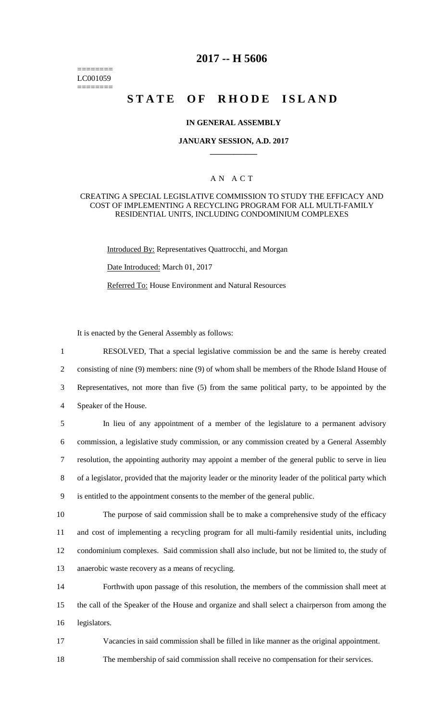======== LC001059 ========

# **2017 -- H 5606**

# **STATE OF RHODE ISLAND**

### **IN GENERAL ASSEMBLY**

#### **JANUARY SESSION, A.D. 2017 \_\_\_\_\_\_\_\_\_\_\_\_**

## A N A C T

#### CREATING A SPECIAL LEGISLATIVE COMMISSION TO STUDY THE EFFICACY AND COST OF IMPLEMENTING A RECYCLING PROGRAM FOR ALL MULTI-FAMILY RESIDENTIAL UNITS, INCLUDING CONDOMINIUM COMPLEXES

Introduced By: Representatives Quattrocchi, and Morgan

Date Introduced: March 01, 2017

Referred To: House Environment and Natural Resources

It is enacted by the General Assembly as follows:

 RESOLVED, That a special legislative commission be and the same is hereby created consisting of nine (9) members: nine (9) of whom shall be members of the Rhode Island House of Representatives, not more than five (5) from the same political party, to be appointed by the Speaker of the House.

 In lieu of any appointment of a member of the legislature to a permanent advisory commission, a legislative study commission, or any commission created by a General Assembly resolution, the appointing authority may appoint a member of the general public to serve in lieu of a legislator, provided that the majority leader or the minority leader of the political party which is entitled to the appointment consents to the member of the general public.

 The purpose of said commission shall be to make a comprehensive study of the efficacy and cost of implementing a recycling program for all multi-family residential units, including condominium complexes. Said commission shall also include, but not be limited to, the study of anaerobic waste recovery as a means of recycling.

14 Forthwith upon passage of this resolution, the members of the commission shall meet at 15 the call of the Speaker of the House and organize and shall select a chairperson from among the 16 legislators.

17 Vacancies in said commission shall be filled in like manner as the original appointment.

18 The membership of said commission shall receive no compensation for their services.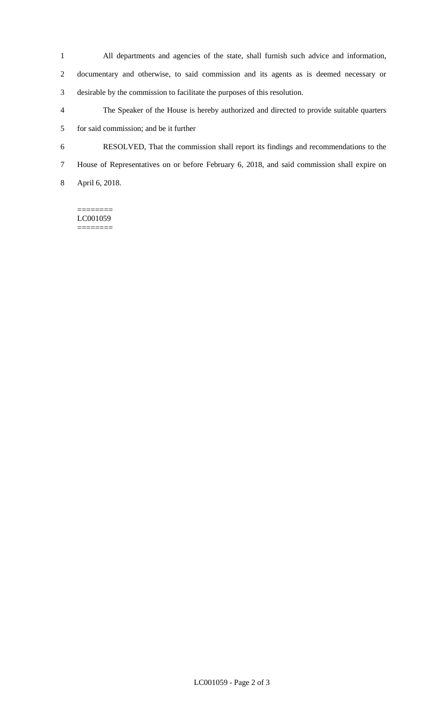All departments and agencies of the state, shall furnish such advice and information,

 documentary and otherwise, to said commission and its agents as is deemed necessary or desirable by the commission to facilitate the purposes of this resolution.

- The Speaker of the House is hereby authorized and directed to provide suitable quarters for said commission; and be it further
- RESOLVED, That the commission shall report its findings and recommendations to the
- House of Representatives on or before February 6, 2018, and said commission shall expire on

April 6, 2018.

======== LC001059 ========